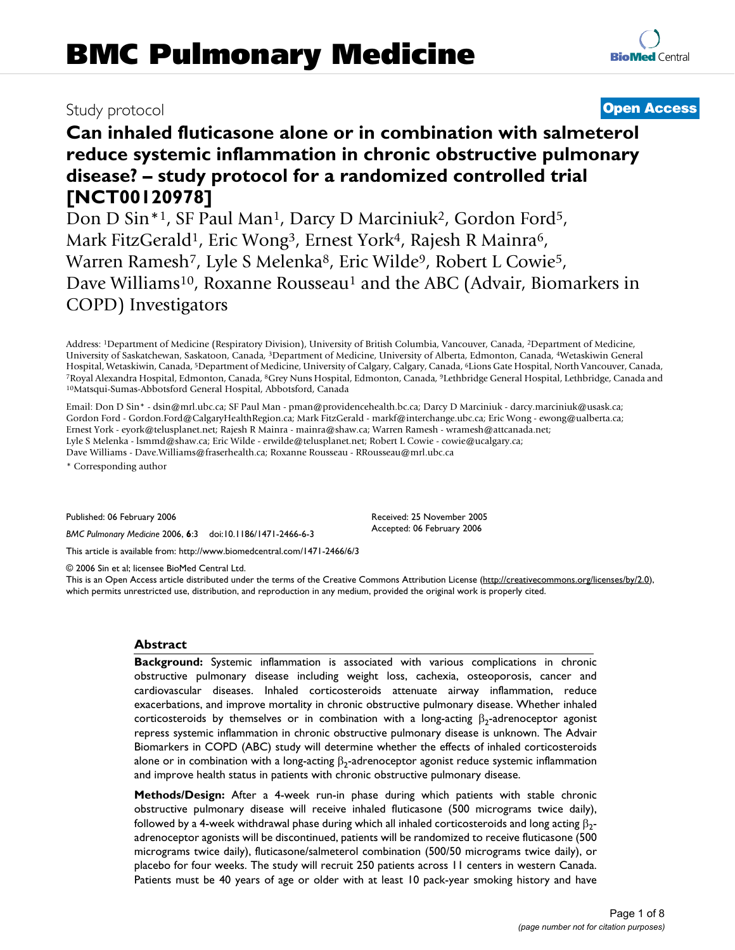# Study protocol **[Open Access](http://www.biomedcentral.com/info/about/charter/)**

# **Can inhaled fluticasone alone or in combination with salmeterol reduce systemic inflammation in chronic obstructive pulmonary disease? – study protocol for a randomized controlled trial [NCT00120978]**

Don D Sin<sup>\*1</sup>, SF Paul Man<sup>1</sup>, Darcy D Marciniuk<sup>2</sup>, Gordon Ford<sup>5</sup>, Mark FitzGerald<sup>1</sup>, Eric Wong<sup>3</sup>, Ernest York<sup>4</sup>, Rajesh R Mainra<sup>6</sup>, Warren Ramesh<sup>7</sup>, Lyle S Melenka<sup>8</sup>, Eric Wilde<sup>9</sup>, Robert L Cowie<sup>5</sup>, Dave Williams<sup>10</sup>, Roxanne Rousseau<sup>1</sup> and the ABC (Advair, Biomarkers in COPD) Investigators

Address: 1Department of Medicine (Respiratory Division), University of British Columbia, Vancouver, Canada, 2Department of Medicine, University of Saskatchewan, Saskatoon, Canada, 3Department of Medicine, University of Alberta, Edmonton, Canada, 4Wetaskiwin General Hospital, Wetaskiwin, Canada, <sup>5</sup>Department of Medicine, University of Calgary, Calgary, Canada, <sup>6</sup>Lions Gate Hospital, North Vancouver, Canada, <sup>7</sup>Royal Alexandra Hospital, Edmonton, Canada, <sup>8</sup>Grey Nuns Hospital, Edmont

Email: Don D Sin\* - dsin@mrl.ubc.ca; SF Paul Man - pman@providencehealth.bc.ca; Darcy D Marciniuk - darcy.marciniuk@usask.ca; Gordon Ford - Gordon.Ford@CalgaryHealthRegion.ca; Mark FitzGerald - markf@interchange.ubc.ca; Eric Wong - ewong@ualberta.ca; Ernest York - eyork@telusplanet.net; Rajesh R Mainra - mainra@shaw.ca; Warren Ramesh - wramesh@attcanada.net; Lyle S Melenka - lsmmd@shaw.ca; Eric Wilde - erwilde@telusplanet.net; Robert L Cowie - cowie@ucalgary.ca; Dave Williams - Dave.Williams@fraserhealth.ca; Roxanne Rousseau - RRousseau@mrl.ubc.ca

\* Corresponding author

Published: 06 February 2006

*BMC Pulmonary Medicine* 2006, **6**:3 doi:10.1186/1471-2466-6-3

[This article is available from: http://www.biomedcentral.com/1471-2466/6/3](http://www.biomedcentral.com/1471-2466/6/3)

© 2006 Sin et al; licensee BioMed Central Ltd.

This is an Open Access article distributed under the terms of the Creative Commons Attribution License [\(http://creativecommons.org/licenses/by/2.0\)](http://creativecommons.org/licenses/by/2.0), which permits unrestricted use, distribution, and reproduction in any medium, provided the original work is properly cited.

Received: 25 November 2005 Accepted: 06 February 2006

# **Abstract**

**Background:** Systemic inflammation is associated with various complications in chronic obstructive pulmonary disease including weight loss, cachexia, osteoporosis, cancer and cardiovascular diseases. Inhaled corticosteroids attenuate airway inflammation, reduce exacerbations, and improve mortality in chronic obstructive pulmonary disease. Whether inhaled corticosteroids by themselves or in combination with a long-acting  $\beta_2$ -adrenoceptor agonist repress systemic inflammation in chronic obstructive pulmonary disease is unknown. The Advair Biomarkers in COPD (ABC) study will determine whether the effects of inhaled corticosteroids alone or in combination with a long-acting  $\beta_2$ -adrenoceptor agonist reduce systemic inflammation and improve health status in patients with chronic obstructive pulmonary disease.

**Methods/Design:** After a 4-week run-in phase during which patients with stable chronic obstructive pulmonary disease will receive inhaled fluticasone (500 micrograms twice daily), followed by a 4-week withdrawal phase during which all inhaled corticosteroids and long acting  $\beta_2$ adrenoceptor agonists will be discontinued, patients will be randomized to receive fluticasone (500 micrograms twice daily), fluticasone/salmeterol combination (500/50 micrograms twice daily), or placebo for four weeks. The study will recruit 250 patients across 11 centers in western Canada. Patients must be 40 years of age or older with at least 10 pack-year smoking history and have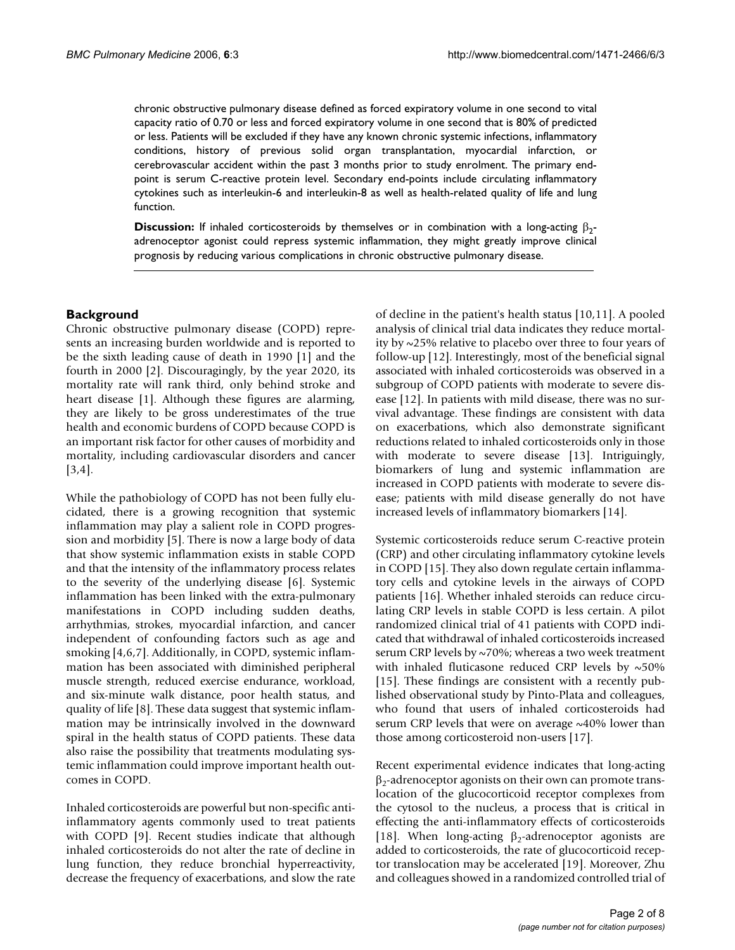chronic obstructive pulmonary disease defined as forced expiratory volume in one second to vital capacity ratio of 0.70 or less and forced expiratory volume in one second that is 80% of predicted or less. Patients will be excluded if they have any known chronic systemic infections, inflammatory conditions, history of previous solid organ transplantation, myocardial infarction, or cerebrovascular accident within the past 3 months prior to study enrolment. The primary endpoint is serum C-reactive protein level. Secondary end-points include circulating inflammatory cytokines such as interleukin-6 and interleukin-8 as well as health-related quality of life and lung function.

**Discussion:** If inhaled corticosteroids by themselves or in combination with a long-acting β<sub>2</sub>adrenoceptor agonist could repress systemic inflammation, they might greatly improve clinical prognosis by reducing various complications in chronic obstructive pulmonary disease.

# **Background**

Chronic obstructive pulmonary disease (COPD) represents an increasing burden worldwide and is reported to be the sixth leading cause of death in 1990 [1] and the fourth in 2000 [2]. Discouragingly, by the year 2020, its mortality rate will rank third, only behind stroke and heart disease [1]. Although these figures are alarming, they are likely to be gross underestimates of the true health and economic burdens of COPD because COPD is an important risk factor for other causes of morbidity and mortality, including cardiovascular disorders and cancer [3,4].

While the pathobiology of COPD has not been fully elucidated, there is a growing recognition that systemic inflammation may play a salient role in COPD progression and morbidity [5]. There is now a large body of data that show systemic inflammation exists in stable COPD and that the intensity of the inflammatory process relates to the severity of the underlying disease [6]. Systemic inflammation has been linked with the extra-pulmonary manifestations in COPD including sudden deaths, arrhythmias, strokes, myocardial infarction, and cancer independent of confounding factors such as age and smoking [4,6,7]. Additionally, in COPD, systemic inflammation has been associated with diminished peripheral muscle strength, reduced exercise endurance, workload, and six-minute walk distance, poor health status, and quality of life [8]. These data suggest that systemic inflammation may be intrinsically involved in the downward spiral in the health status of COPD patients. These data also raise the possibility that treatments modulating systemic inflammation could improve important health outcomes in COPD.

Inhaled corticosteroids are powerful but non-specific antiinflammatory agents commonly used to treat patients with COPD [9]. Recent studies indicate that although inhaled corticosteroids do not alter the rate of decline in lung function, they reduce bronchial hyperreactivity, decrease the frequency of exacerbations, and slow the rate of decline in the patient's health status [10,11]. A pooled analysis of clinical trial data indicates they reduce mortality by ~25% relative to placebo over three to four years of follow-up [12]. Interestingly, most of the beneficial signal associated with inhaled corticosteroids was observed in a subgroup of COPD patients with moderate to severe disease [12]. In patients with mild disease, there was no survival advantage. These findings are consistent with data on exacerbations, which also demonstrate significant reductions related to inhaled corticosteroids only in those with moderate to severe disease [13]. Intriguingly, biomarkers of lung and systemic inflammation are increased in COPD patients with moderate to severe disease; patients with mild disease generally do not have increased levels of inflammatory biomarkers [14].

Systemic corticosteroids reduce serum C-reactive protein (CRP) and other circulating inflammatory cytokine levels in COPD [15]. They also down regulate certain inflammatory cells and cytokine levels in the airways of COPD patients [16]. Whether inhaled steroids can reduce circulating CRP levels in stable COPD is less certain. A pilot randomized clinical trial of 41 patients with COPD indicated that withdrawal of inhaled corticosteroids increased serum CRP levels by ~70%; whereas a two week treatment with inhaled fluticasone reduced CRP levels by  $\sim$  50% [15]. These findings are consistent with a recently published observational study by Pinto-Plata and colleagues, who found that users of inhaled corticosteroids had serum CRP levels that were on average ~40% lower than those among corticosteroid non-users [17].

Recent experimental evidence indicates that long-acting  $\beta_2$ -adrenoceptor agonists on their own can promote translocation of the glucocorticoid receptor complexes from the cytosol to the nucleus, a process that is critical in effecting the anti-inflammatory effects of corticosteroids [18]. When long-acting  $\beta_2$ -adrenoceptor agonists are added to corticosteroids, the rate of glucocorticoid receptor translocation may be accelerated [19]. Moreover, Zhu and colleagues showed in a randomized controlled trial of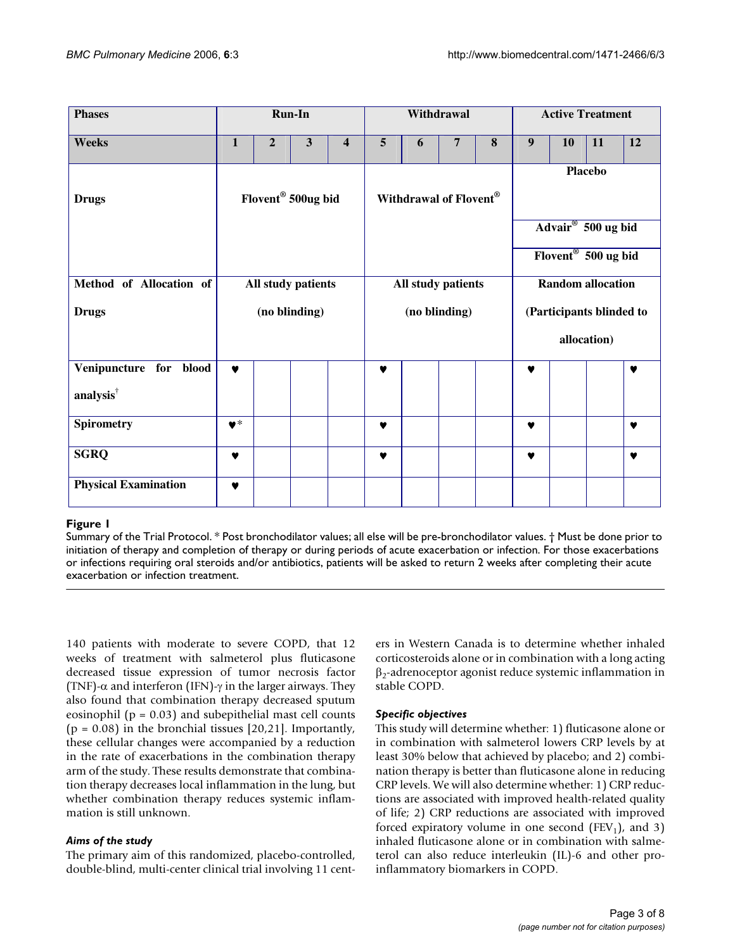| <b>Phases</b>               | Run-In                         |                  |                         |                         | Withdrawal             |   |   |   | <b>Active Treatment</b>         |    |    |           |
|-----------------------------|--------------------------------|------------------|-------------------------|-------------------------|------------------------|---|---|---|---------------------------------|----|----|-----------|
| <b>Weeks</b>                | 1                              | $\boldsymbol{2}$ | $\overline{\mathbf{3}}$ | $\overline{\mathbf{4}}$ | 5                      | 6 | 7 | 8 | 9                               | 10 | 11 | 12        |
|                             |                                |                  |                         |                         |                        |   |   |   | <b>Placebo</b>                  |    |    |           |
| <b>Drugs</b>                | Flovent <sup>®</sup> 500ug bid |                  |                         |                         | Withdrawal of Flovent® |   |   |   |                                 |    |    |           |
|                             |                                |                  |                         |                         |                        |   |   |   | Advair <sup>®</sup> 500 ug bid  |    |    |           |
|                             |                                |                  |                         |                         |                        |   |   |   | Flovent <sup>®</sup> 500 ug bid |    |    |           |
| Method of Allocation of     | All study patients             |                  |                         |                         | All study patients     |   |   |   | <b>Random allocation</b>        |    |    |           |
| <b>Drugs</b>                | (no blinding)                  |                  |                         |                         | (no blinding)          |   |   |   | (Participants blinded to        |    |    |           |
|                             |                                |                  |                         |                         |                        |   |   |   | allocation)                     |    |    |           |
| Venipuncture for blood      | $\bullet$                      |                  |                         |                         | $\bullet$              |   |   |   | $\bullet$                       |    |    | ♥         |
| analysis <sup>†</sup>       |                                |                  |                         |                         |                        |   |   |   |                                 |    |    |           |
| <b>Spirometry</b>           | $\bullet^*$                    |                  |                         |                         | $\bullet$              |   |   |   | ♥                               |    |    | $\bullet$ |
| <b>SGRQ</b>                 | $\bullet$                      |                  |                         |                         | $\bullet$              |   |   |   | $\bullet$                       |    |    | $\bullet$ |
| <b>Physical Examination</b> | $\bullet$                      |                  |                         |                         |                        |   |   |   |                                 |    |    |           |

# **Figure 1**

Summary of the Trial Protocol. \* Post bronchodilator values; all else will be pre-bronchodilator values. † Must be done prior to initiation of therapy and completion of therapy or during periods of acute exacerbation or infection. For those exacerbations or infections requiring oral steroids and/or antibiotics, patients will be asked to return 2 weeks after completing their acute exacerbation or infection treatment.

140 patients with moderate to severe COPD, that 12 weeks of treatment with salmeterol plus fluticasone decreased tissue expression of tumor necrosis factor (TNF)-α and interferon (IFN)-γ in the larger airways. They also found that combination therapy decreased sputum eosinophil ( $p = 0.03$ ) and subepithelial mast cell counts  $(p = 0.08)$  in the bronchial tissues [20,21]. Importantly, these cellular changes were accompanied by a reduction in the rate of exacerbations in the combination therapy arm of the study. These results demonstrate that combination therapy decreases local inflammation in the lung, but whether combination therapy reduces systemic inflammation is still unknown.

# *Aims of the study*

The primary aim of this randomized, placebo-controlled, double-blind, multi-center clinical trial involving 11 centers in Western Canada is to determine whether inhaled corticosteroids alone or in combination with a long acting  $\beta_2$ -adrenoceptor agonist reduce systemic inflammation in stable COPD.

# *Specific objectives*

This study will determine whether: 1) fluticasone alone or in combination with salmeterol lowers CRP levels by at least 30% below that achieved by placebo; and 2) combination therapy is better than fluticasone alone in reducing CRP levels. We will also determine whether: 1) CRP reductions are associated with improved health-related quality of life; 2) CRP reductions are associated with improved forced expiratory volume in one second (FEV<sub>1</sub>), and 3) inhaled fluticasone alone or in combination with salmeterol can also reduce interleukin (IL)-6 and other proinflammatory biomarkers in COPD.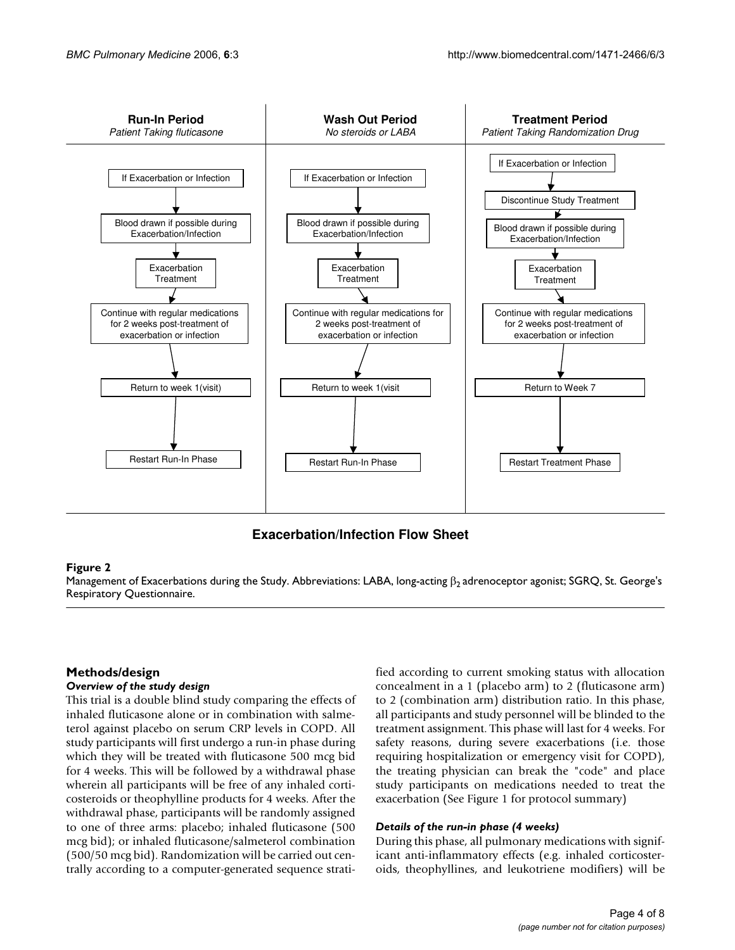

# **Exacerbation/Infection Flow Sheet**

# **Figure 2**

Management of Exacerbations during the Study. Abbreviations: LABA, long-acting  $\beta_2$  adrenoceptor agonist; SGRQ, St. George's Respiratory Questionnaire.

# **Methods/design**

# *Overview of the study design*

This trial is a double blind study comparing the effects of inhaled fluticasone alone or in combination with salmeterol against placebo on serum CRP levels in COPD. All study participants will first undergo a run-in phase during which they will be treated with fluticasone 500 mcg bid for 4 weeks. This will be followed by a withdrawal phase wherein all participants will be free of any inhaled corticosteroids or theophylline products for 4 weeks. After the withdrawal phase, participants will be randomly assigned to one of three arms: placebo; inhaled fluticasone (500 mcg bid); or inhaled fluticasone/salmeterol combination (500/50 mcg bid). Randomization will be carried out centrally according to a computer-generated sequence stratified according to current smoking status with allocation concealment in a 1 (placebo arm) to 2 (fluticasone arm) to 2 (combination arm) distribution ratio. In this phase, all participants and study personnel will be blinded to the treatment assignment. This phase will last for 4 weeks. For safety reasons, during severe exacerbations (i.e. those requiring hospitalization or emergency visit for COPD), the treating physician can break the "code" and place study participants on medications needed to treat the exacerbation (See Figure 1 for protocol summary)

# *Details of the run-in phase (4 weeks)*

During this phase, all pulmonary medications with significant anti-inflammatory effects (e.g. inhaled corticosteroids, theophyllines, and leukotriene modifiers) will be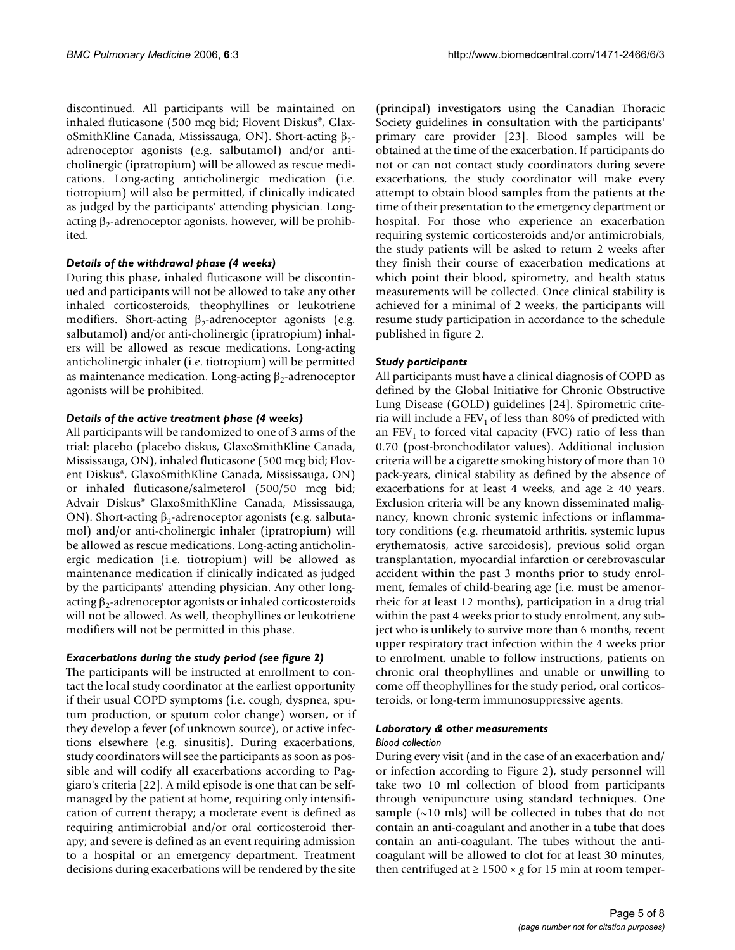discontinued. All participants will be maintained on inhaled fluticasone (500 mcg bid; Flovent Diskus®, GlaxoSmithKline Canada, Mississauga, ON). Short-acting β<sub>2</sub>adrenoceptor agonists (e.g. salbutamol) and/or anticholinergic (ipratropium) will be allowed as rescue medications. Long-acting anticholinergic medication (i.e. tiotropium) will also be permitted, if clinically indicated as judged by the participants' attending physician. Longacting  $β_2$ -adrenoceptor agonists, however, will be prohibited.

# *Details of the withdrawal phase (4 weeks)*

During this phase, inhaled fluticasone will be discontinued and participants will not be allowed to take any other inhaled corticosteroids, theophyllines or leukotriene modifiers. Short-acting  $\beta_2$ -adrenoceptor agonists (e.g. salbutamol) and/or anti-cholinergic (ipratropium) inhalers will be allowed as rescue medications. Long-acting anticholinergic inhaler (i.e. tiotropium) will be permitted as maintenance medication. Long-acting  $β_2$ -adrenoceptor agonists will be prohibited.

# *Details of the active treatment phase (4 weeks)*

All participants will be randomized to one of 3 arms of the trial: placebo (placebo diskus, GlaxoSmithKline Canada, Mississauga, ON), inhaled fluticasone (500 mcg bid; Flovent Diskus®, GlaxoSmithKline Canada, Mississauga, ON) or inhaled fluticasone/salmeterol (500/50 mcg bid; Advair Diskus® GlaxoSmithKline Canada, Mississauga, ON). Short-acting  $β_2$ -adrenoceptor agonists (e.g. salbutamol) and/or anti-cholinergic inhaler (ipratropium) will be allowed as rescue medications. Long-acting anticholinergic medication (i.e. tiotropium) will be allowed as maintenance medication if clinically indicated as judged by the participants' attending physician. Any other longacting  $β_2$ -adrenoceptor agonists or inhaled corticosteroids will not be allowed. As well, theophyllines or leukotriene modifiers will not be permitted in this phase.

# *Exacerbations during the study period (see figure 2)*

The participants will be instructed at enrollment to contact the local study coordinator at the earliest opportunity if their usual COPD symptoms (i.e. cough, dyspnea, sputum production, or sputum color change) worsen, or if they develop a fever (of unknown source), or active infections elsewhere (e.g. sinusitis). During exacerbations, study coordinators will see the participants as soon as possible and will codify all exacerbations according to Paggiaro's criteria [22]. A mild episode is one that can be selfmanaged by the patient at home, requiring only intensification of current therapy; a moderate event is defined as requiring antimicrobial and/or oral corticosteroid therapy; and severe is defined as an event requiring admission to a hospital or an emergency department. Treatment decisions during exacerbations will be rendered by the site (principal) investigators using the Canadian Thoracic Society guidelines in consultation with the participants' primary care provider [23]. Blood samples will be obtained at the time of the exacerbation. If participants do not or can not contact study coordinators during severe exacerbations, the study coordinator will make every attempt to obtain blood samples from the patients at the time of their presentation to the emergency department or hospital. For those who experience an exacerbation requiring systemic corticosteroids and/or antimicrobials, the study patients will be asked to return 2 weeks after they finish their course of exacerbation medications at which point their blood, spirometry, and health status measurements will be collected. Once clinical stability is achieved for a minimal of 2 weeks, the participants will resume study participation in accordance to the schedule published in figure 2.

# *Study participants*

All participants must have a clinical diagnosis of COPD as defined by the Global Initiative for Chronic Obstructive Lung Disease (GOLD) guidelines [24]. Spirometric criteria will include a  $FEV<sub>1</sub>$  of less than 80% of predicted with an  $FEV<sub>1</sub>$  to forced vital capacity (FVC) ratio of less than 0.70 (post-bronchodilator values). Additional inclusion criteria will be a cigarette smoking history of more than 10 pack-years, clinical stability as defined by the absence of exacerbations for at least 4 weeks, and age  $\geq$  40 years. Exclusion criteria will be any known disseminated malignancy, known chronic systemic infections or inflammatory conditions (e.g. rheumatoid arthritis, systemic lupus erythematosis, active sarcoidosis), previous solid organ transplantation, myocardial infarction or cerebrovascular accident within the past 3 months prior to study enrolment, females of child-bearing age (i.e. must be amenorrheic for at least 12 months), participation in a drug trial within the past 4 weeks prior to study enrolment, any subject who is unlikely to survive more than 6 months, recent upper respiratory tract infection within the 4 weeks prior to enrolment, unable to follow instructions, patients on chronic oral theophyllines and unable or unwilling to come off theophyllines for the study period, oral corticosteroids, or long-term immunosuppressive agents.

# *Laboratory & other measurements*

# *Blood collection*

During every visit (and in the case of an exacerbation and/ or infection according to Figure 2), study personnel will take two 10 ml collection of blood from participants through venipuncture using standard techniques. One sample  $(\sim 10 \text{ mls})$  will be collected in tubes that do not contain an anti-coagulant and another in a tube that does contain an anti-coagulant. The tubes without the anticoagulant will be allowed to clot for at least 30 minutes, then centrifuged at  $\geq 1500 \times g$  for 15 min at room temper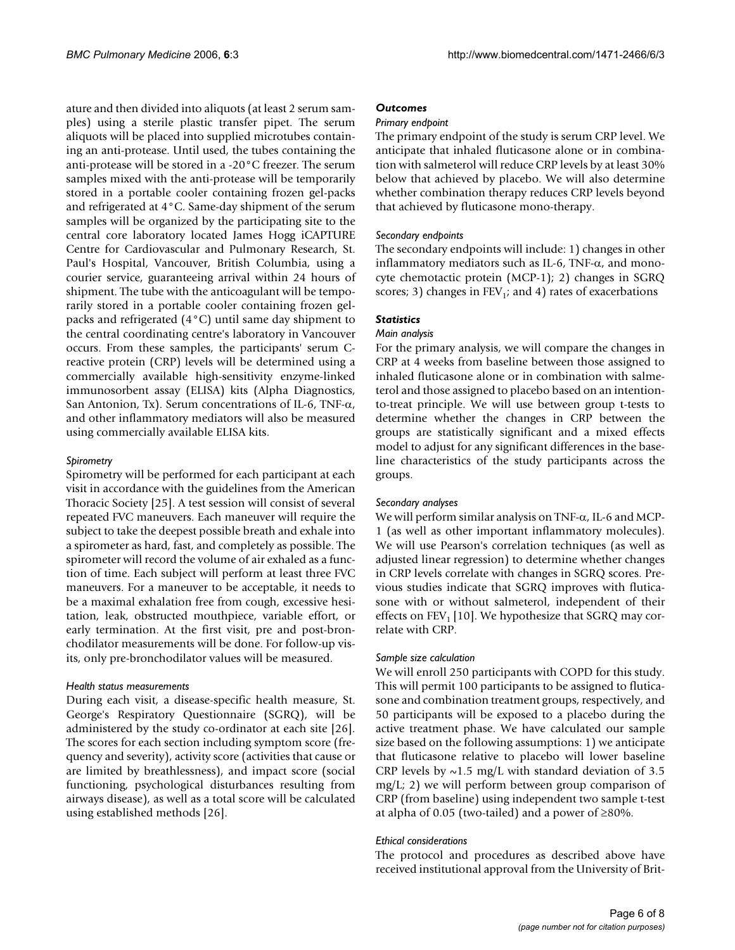ature and then divided into aliquots (at least 2 serum samples) using a sterile plastic transfer pipet. The serum aliquots will be placed into supplied microtubes containing an anti-protease. Until used, the tubes containing the anti-protease will be stored in a -20°C freezer. The serum samples mixed with the anti-protease will be temporarily stored in a portable cooler containing frozen gel-packs and refrigerated at 4°C. Same-day shipment of the serum samples will be organized by the participating site to the central core laboratory located James Hogg iCAPTURE Centre for Cardiovascular and Pulmonary Research, St. Paul's Hospital, Vancouver, British Columbia, using a courier service, guaranteeing arrival within 24 hours of shipment. The tube with the anticoagulant will be temporarily stored in a portable cooler containing frozen gelpacks and refrigerated (4°C) until same day shipment to the central coordinating centre's laboratory in Vancouver occurs. From these samples, the participants' serum Creactive protein (CRP) levels will be determined using a commercially available high-sensitivity enzyme-linked immunosorbent assay (ELISA) kits (Alpha Diagnostics, San Antonion, Tx). Serum concentrations of IL-6, TNF-α, and other inflammatory mediators will also be measured using commercially available ELISA kits.

#### *Spirometry*

Spirometry will be performed for each participant at each visit in accordance with the guidelines from the American Thoracic Society [25]. A test session will consist of several repeated FVC maneuvers. Each maneuver will require the subject to take the deepest possible breath and exhale into a spirometer as hard, fast, and completely as possible. The spirometer will record the volume of air exhaled as a function of time. Each subject will perform at least three FVC maneuvers. For a maneuver to be acceptable, it needs to be a maximal exhalation free from cough, excessive hesitation, leak, obstructed mouthpiece, variable effort, or early termination. At the first visit, pre and post-bronchodilator measurements will be done. For follow-up visits, only pre-bronchodilator values will be measured.

#### *Health status measurements*

During each visit, a disease-specific health measure, St. George's Respiratory Questionnaire (SGRQ), will be administered by the study co-ordinator at each site [26]. The scores for each section including symptom score (frequency and severity), activity score (activities that cause or are limited by breathlessness), and impact score (social functioning, psychological disturbances resulting from airways disease), as well as a total score will be calculated using established methods [26].

# *Outcomes*

#### *Primary endpoint*

The primary endpoint of the study is serum CRP level. We anticipate that inhaled fluticasone alone or in combination with salmeterol will reduce CRP levels by at least 30% below that achieved by placebo. We will also determine whether combination therapy reduces CRP levels beyond that achieved by fluticasone mono-therapy.

#### *Secondary endpoints*

The secondary endpoints will include: 1) changes in other inflammatory mediators such as IL-6, TNF- $\alpha$ , and monocyte chemotactic protein (MCP-1); 2) changes in SGRQ scores; 3) changes in  $FEV<sub>1</sub>$ ; and 4) rates of exacerbations

### *Statistics*

#### *Main analysis*

For the primary analysis, we will compare the changes in CRP at 4 weeks from baseline between those assigned to inhaled fluticasone alone or in combination with salmeterol and those assigned to placebo based on an intentionto-treat principle. We will use between group t-tests to determine whether the changes in CRP between the groups are statistically significant and a mixed effects model to adjust for any significant differences in the baseline characteristics of the study participants across the groups.

#### *Secondary analyses*

We will perform similar analysis on TNF-α, IL-6 and MCP-1 (as well as other important inflammatory molecules). We will use Pearson's correlation techniques (as well as adjusted linear regression) to determine whether changes in CRP levels correlate with changes in SGRQ scores. Previous studies indicate that SGRQ improves with fluticasone with or without salmeterol, independent of their effects on  $FEV<sub>1</sub>[10]$ . We hypothesize that SGRQ may correlate with CRP.

#### *Sample size calculation*

We will enroll 250 participants with COPD for this study. This will permit 100 participants to be assigned to fluticasone and combination treatment groups, respectively, and 50 participants will be exposed to a placebo during the active treatment phase. We have calculated our sample size based on the following assumptions: 1) we anticipate that fluticasone relative to placebo will lower baseline CRP levels by  $\sim$ 1.5 mg/L with standard deviation of 3.5 mg/L; 2) we will perform between group comparison of CRP (from baseline) using independent two sample t-test at alpha of 0.05 (two-tailed) and a power of  $\geq 80\%$ .

#### *Ethical considerations*

The protocol and procedures as described above have received institutional approval from the University of Brit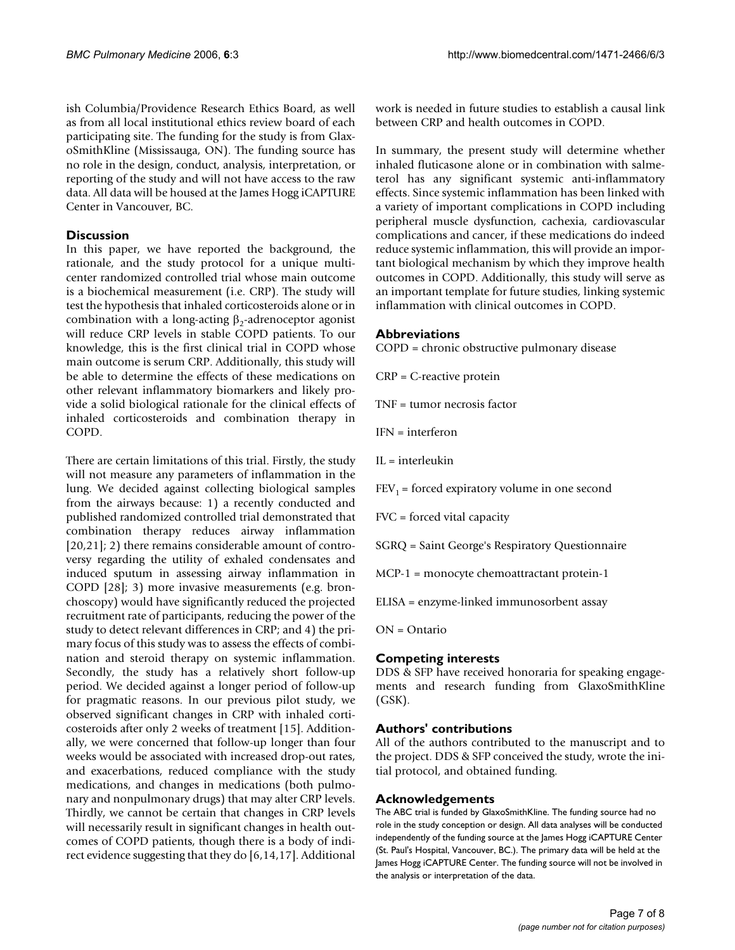ish Columbia/Providence Research Ethics Board, as well as from all local institutional ethics review board of each participating site. The funding for the study is from GlaxoSmithKline (Mississauga, ON). The funding source has no role in the design, conduct, analysis, interpretation, or reporting of the study and will not have access to the raw data. All data will be housed at the James Hogg iCAPTURE Center in Vancouver, BC.

# **Discussion**

In this paper, we have reported the background, the rationale, and the study protocol for a unique multicenter randomized controlled trial whose main outcome is a biochemical measurement (i.e. CRP). The study will test the hypothesis that inhaled corticosteroids alone or in combination with a long-acting  $\beta_2$ -adrenoceptor agonist will reduce CRP levels in stable COPD patients. To our knowledge, this is the first clinical trial in COPD whose main outcome is serum CRP. Additionally, this study will be able to determine the effects of these medications on other relevant inflammatory biomarkers and likely provide a solid biological rationale for the clinical effects of inhaled corticosteroids and combination therapy in COPD.

There are certain limitations of this trial. Firstly, the study will not measure any parameters of inflammation in the lung. We decided against collecting biological samples from the airways because: 1) a recently conducted and published randomized controlled trial demonstrated that combination therapy reduces airway inflammation [20,21]; 2) there remains considerable amount of controversy regarding the utility of exhaled condensates and induced sputum in assessing airway inflammation in COPD [28]; 3) more invasive measurements (e.g. bronchoscopy) would have significantly reduced the projected recruitment rate of participants, reducing the power of the study to detect relevant differences in CRP; and 4) the primary focus of this study was to assess the effects of combination and steroid therapy on systemic inflammation. Secondly, the study has a relatively short follow-up period. We decided against a longer period of follow-up for pragmatic reasons. In our previous pilot study, we observed significant changes in CRP with inhaled corticosteroids after only 2 weeks of treatment [15]. Additionally, we were concerned that follow-up longer than four weeks would be associated with increased drop-out rates, and exacerbations, reduced compliance with the study medications, and changes in medications (both pulmonary and nonpulmonary drugs) that may alter CRP levels. Thirdly, we cannot be certain that changes in CRP levels will necessarily result in significant changes in health outcomes of COPD patients, though there is a body of indirect evidence suggesting that they do [6,14,17]. Additional

work is needed in future studies to establish a causal link between CRP and health outcomes in COPD.

In summary, the present study will determine whether inhaled fluticasone alone or in combination with salmeterol has any significant systemic anti-inflammatory effects. Since systemic inflammation has been linked with a variety of important complications in COPD including peripheral muscle dysfunction, cachexia, cardiovascular complications and cancer, if these medications do indeed reduce systemic inflammation, this will provide an important biological mechanism by which they improve health outcomes in COPD. Additionally, this study will serve as an important template for future studies, linking systemic inflammation with clinical outcomes in COPD.

# **Abbreviations**

COPD = chronic obstructive pulmonary disease

- CRP = C-reactive protein
- TNF = tumor necrosis factor
- IFN = interferon
- $IL = interleukin$
- $FEV<sub>1</sub>$  = forced expiratory volume in one second
- FVC = forced vital capacity
- SGRQ = Saint George's Respiratory Questionnaire
- MCP-1 = monocyte chemoattractant protein-1
- ELISA = enzyme-linked immunosorbent assay
- ON = Ontario

# **Competing interests**

DDS & SFP have received honoraria for speaking engagements and research funding from GlaxoSmithKline (GSK).

# **Authors' contributions**

All of the authors contributed to the manuscript and to the project. DDS & SFP conceived the study, wrote the initial protocol, and obtained funding.

# **Acknowledgements**

The ABC trial is funded by GlaxoSmithKline. The funding source had no role in the study conception or design. All data analyses will be conducted independently of the funding source at the James Hogg iCAPTURE Center (St. Paul's Hospital, Vancouver, BC.). The primary data will be held at the James Hogg iCAPTURE Center. The funding source will not be involved in the analysis or interpretation of the data.